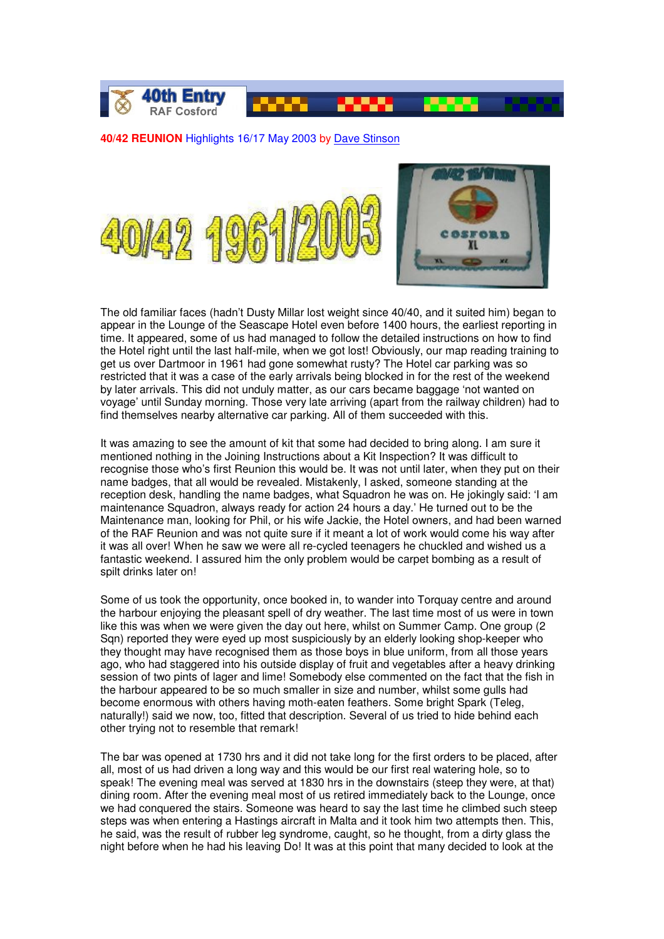

## **40/42 REUNION** Highlights 16/17 May 2003 by Dave Stinson





The old familiar faces (hadn't Dusty Millar lost weight since 40/40, and it suited him) began to appear in the Lounge of the Seascape Hotel even before 1400 hours, the earliest reporting in time. It appeared, some of us had managed to follow the detailed instructions on how to find the Hotel right until the last half-mile, when we got lost! Obviously, our map reading training to get us over Dartmoor in 1961 had gone somewhat rusty? The Hotel car parking was so restricted that it was a case of the early arrivals being blocked in for the rest of the weekend by later arrivals. This did not unduly matter, as our cars became baggage 'not wanted on voyage' until Sunday morning. Those very late arriving (apart from the railway children) had to find themselves nearby alternative car parking. All of them succeeded with this.

It was amazing to see the amount of kit that some had decided to bring along. I am sure it mentioned nothing in the Joining Instructions about a Kit Inspection? It was difficult to recognise those who's first Reunion this would be. It was not until later, when they put on their name badges, that all would be revealed. Mistakenly, I asked, someone standing at the reception desk, handling the name badges, what Squadron he was on. He jokingly said: 'I am maintenance Squadron, always ready for action 24 hours a day.' He turned out to be the Maintenance man, looking for Phil, or his wife Jackie, the Hotel owners, and had been warned of the RAF Reunion and was not quite sure if it meant a lot of work would come his way after it was all over! When he saw we were all re-cycled teenagers he chuckled and wished us a fantastic weekend. I assured him the only problem would be carpet bombing as a result of spilt drinks later on!

Some of us took the opportunity, once booked in, to wander into Torquay centre and around the harbour enjoying the pleasant spell of dry weather. The last time most of us were in town like this was when we were given the day out here, whilst on Summer Camp. One group (2 Sqn) reported they were eyed up most suspiciously by an elderly looking shop-keeper who they thought may have recognised them as those boys in blue uniform, from all those years ago, who had staggered into his outside display of fruit and vegetables after a heavy drinking session of two pints of lager and lime! Somebody else commented on the fact that the fish in the harbour appeared to be so much smaller in size and number, whilst some gulls had become enormous with others having moth-eaten feathers. Some bright Spark (Teleg, naturally!) said we now, too, fitted that description. Several of us tried to hide behind each other trying not to resemble that remark!

The bar was opened at 1730 hrs and it did not take long for the first orders to be placed, after all, most of us had driven a long way and this would be our first real watering hole, so to speak! The evening meal was served at 1830 hrs in the downstairs (steep they were, at that) dining room. After the evening meal most of us retired immediately back to the Lounge, once we had conquered the stairs. Someone was heard to say the last time he climbed such steep steps was when entering a Hastings aircraft in Malta and it took him two attempts then. This, he said, was the result of rubber leg syndrome, caught, so he thought, from a dirty glass the night before when he had his leaving Do! It was at this point that many decided to look at the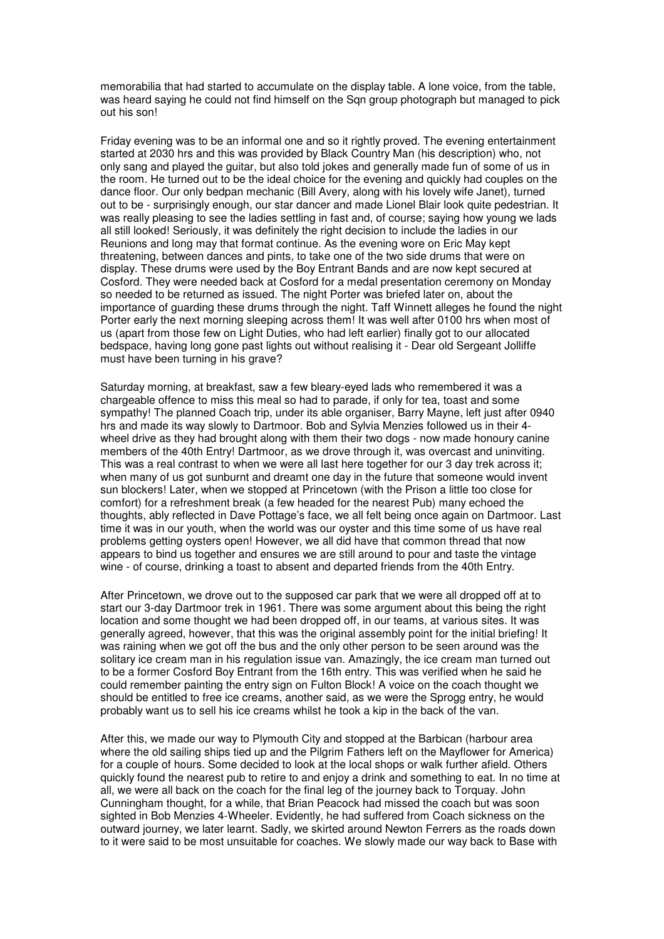memorabilia that had started to accumulate on the display table. A lone voice, from the table, was heard saying he could not find himself on the Sqn group photograph but managed to pick out his son!

Friday evening was to be an informal one and so it rightly proved. The evening entertainment started at 2030 hrs and this was provided by Black Country Man (his description) who, not only sang and played the guitar, but also told jokes and generally made fun of some of us in the room. He turned out to be the ideal choice for the evening and quickly had couples on the dance floor. Our only bedpan mechanic (Bill Avery, along with his lovely wife Janet), turned out to be - surprisingly enough, our star dancer and made Lionel Blair look quite pedestrian. It was really pleasing to see the ladies settling in fast and, of course; saying how young we lads all still looked! Seriously, it was definitely the right decision to include the ladies in our Reunions and long may that format continue. As the evening wore on Eric May kept threatening, between dances and pints, to take one of the two side drums that were on display. These drums were used by the Boy Entrant Bands and are now kept secured at Cosford. They were needed back at Cosford for a medal presentation ceremony on Monday so needed to be returned as issued. The night Porter was briefed later on, about the importance of guarding these drums through the night. Taff Winnett alleges he found the night Porter early the next morning sleeping across them! It was well after 0100 hrs when most of us (apart from those few on Light Duties, who had left earlier) finally got to our allocated bedspace, having long gone past lights out without realising it - Dear old Sergeant Jolliffe must have been turning in his grave?

Saturday morning, at breakfast, saw a few bleary-eyed lads who remembered it was a chargeable offence to miss this meal so had to parade, if only for tea, toast and some sympathy! The planned Coach trip, under its able organiser, Barry Mayne, left just after 0940 hrs and made its way slowly to Dartmoor. Bob and Sylvia Menzies followed us in their 4 wheel drive as they had brought along with them their two dogs - now made honoury canine members of the 40th Entry! Dartmoor, as we drove through it, was overcast and uninviting. This was a real contrast to when we were all last here together for our 3 day trek across it; when many of us got sunburnt and dreamt one day in the future that someone would invent sun blockers! Later, when we stopped at Princetown (with the Prison a little too close for comfort) for a refreshment break (a few headed for the nearest Pub) many echoed the thoughts, ably reflected in Dave Pottage's face, we all felt being once again on Dartmoor. Last time it was in our youth, when the world was our oyster and this time some of us have real problems getting oysters open! However, we all did have that common thread that now appears to bind us together and ensures we are still around to pour and taste the vintage wine - of course, drinking a toast to absent and departed friends from the 40th Entry.

After Princetown, we drove out to the supposed car park that we were all dropped off at to start our 3-day Dartmoor trek in 1961. There was some argument about this being the right location and some thought we had been dropped off, in our teams, at various sites. It was generally agreed, however, that this was the original assembly point for the initial briefing! It was raining when we got off the bus and the only other person to be seen around was the solitary ice cream man in his regulation issue van. Amazingly, the ice cream man turned out to be a former Cosford Boy Entrant from the 16th entry. This was verified when he said he could remember painting the entry sign on Fulton Block! A voice on the coach thought we should be entitled to free ice creams, another said, as we were the Sprogg entry, he would probably want us to sell his ice creams whilst he took a kip in the back of the van.

After this, we made our way to Plymouth City and stopped at the Barbican (harbour area where the old sailing ships tied up and the Pilgrim Fathers left on the Mayflower for America) for a couple of hours. Some decided to look at the local shops or walk further afield. Others quickly found the nearest pub to retire to and enjoy a drink and something to eat. In no time at all, we were all back on the coach for the final leg of the journey back to Torquay. John Cunningham thought, for a while, that Brian Peacock had missed the coach but was soon sighted in Bob Menzies 4-Wheeler. Evidently, he had suffered from Coach sickness on the outward journey, we later learnt. Sadly, we skirted around Newton Ferrers as the roads down to it were said to be most unsuitable for coaches. We slowly made our way back to Base with